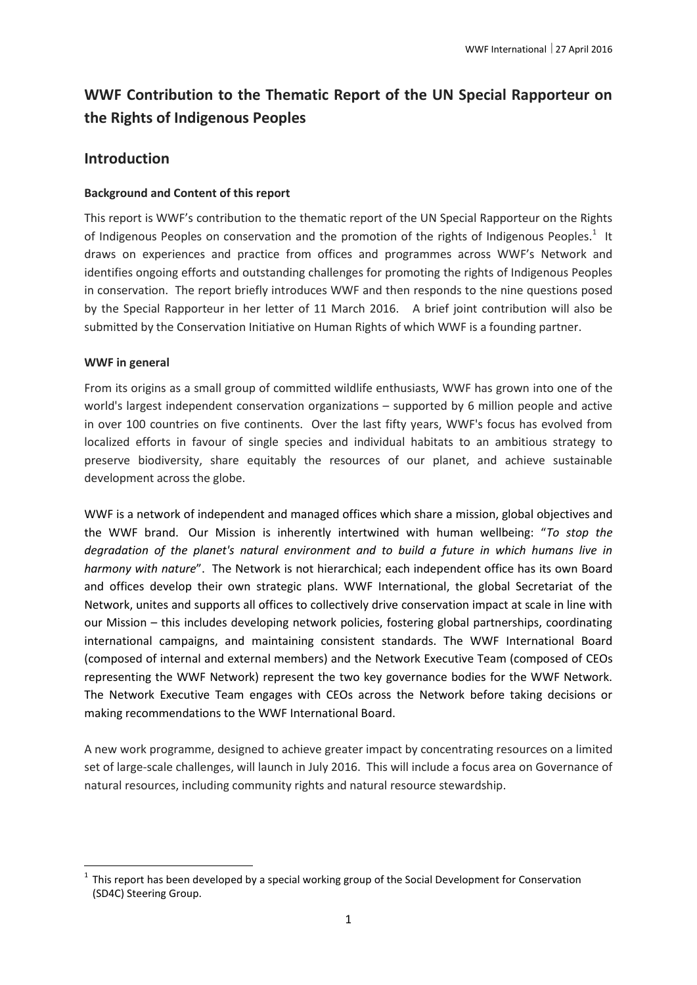# **WWF Contribution to the Thematic Report of the UN Special Rapporteur on the Rights of Indigenous Peoples**

# **Introduction**

#### **Background and Content of this report**

This report is WWF's contribution to the thematic report of the UN Special Rapporteur on the Rights of Indigenous Peoples on conservation and the promotion of the rights of Indigenous Peoples.<sup>1</sup> It draws on experiences and practice from offices and programmes across WWF's Network and identifies ongoing efforts and outstanding challenges for promoting the rights of Indigenous Peoples in conservation. The report briefly introduces WWF and then responds to the nine questions posed by the Special Rapporteur in her letter of 11 March 2016. A brief joint contribution will also be submitted by the Conservation Initiative on Human Rights of which WWF is a founding partner.

#### **WWF in general**

**.** 

From its origins as a small group of committed wildlife enthusiasts, WWF has grown into one of the world's largest independent conservation organizations – supported by 6 million people and active in over 100 countries on five continents. Over the last fifty years, WWF's focus has evolved from localized efforts in favour of single species and individual habitats to an ambitious strategy to preserve biodiversity, share equitably the resources of our planet, and achieve sustainable development across the globe.

WWF is a network of independent and managed offices which share a mission, global objectives and the WWF brand. Our Mission is inherently intertwined with human wellbeing: "*To stop the degradation of the planet's natural environment and to build a future in which humans live in harmony with nature*". The Network is not hierarchical; each independent office has its own Board and offices develop their own strategic plans. WWF International, the global Secretariat of the Network, unites and supports all offices to collectively drive conservation impact at scale in line with our Mission – this includes developing network policies, fostering global partnerships, coordinating international campaigns, and maintaining consistent standards. The WWF International Board (composed of internal and external members) and the Network Executive Team (composed of CEOs representing the WWF Network) represent the two key governance bodies for the WWF Network. The Network Executive Team engages with CEOs across the Network before taking decisions or making recommendations to the WWF International Board.

A new work programme, designed to achieve greater impact by concentrating resources on a limited set of large-scale challenges, will launch in July 2016. This will include a focus area on Governance of natural resources, including community rights and natural resource stewardship.

<sup>1</sup> This report has been developed by a special working group of the Social Development for Conservation (SD4C) Steering Group.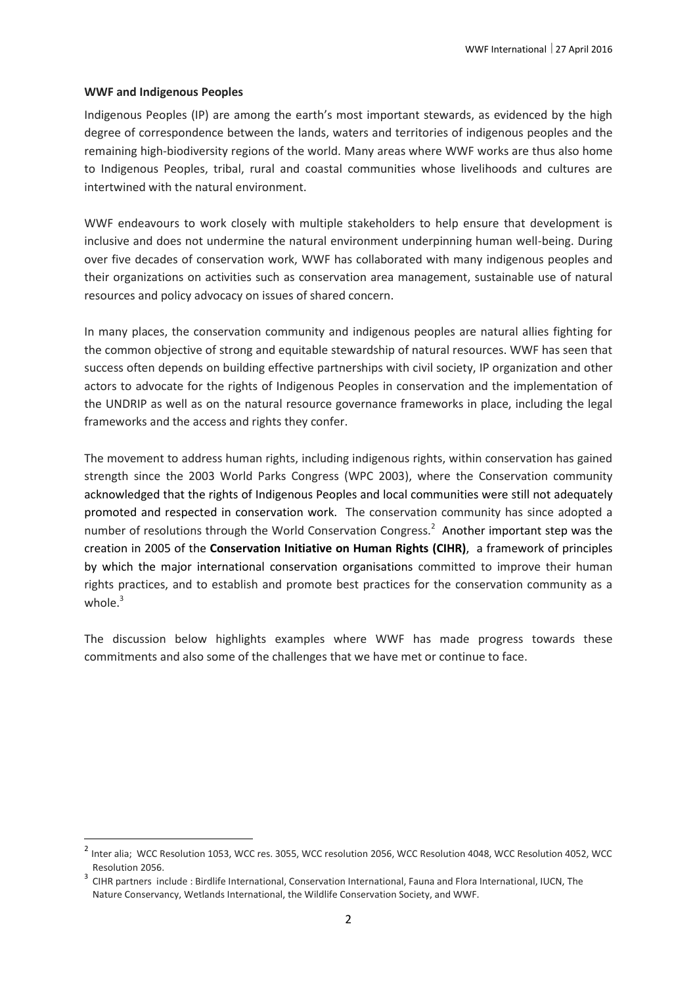#### **WWF and Indigenous Peoples**

1

Indigenous Peoples (IP) are among the earth's most important stewards, as evidenced by the high degree of correspondence between the lands, waters and territories of indigenous peoples and the remaining high-biodiversity regions of the world. Many areas where WWF works are thus also home to Indigenous Peoples, tribal, rural and coastal communities whose livelihoods and cultures are intertwined with the natural environment.

WWF endeavours to work closely with multiple stakeholders to help ensure that development is inclusive and does not undermine the natural environment underpinning human well-being. During over five decades of conservation work, WWF has collaborated with many indigenous peoples and their organizations on activities such as conservation area management, sustainable use of natural resources and policy advocacy on issues of shared concern.

In many places, the conservation community and indigenous peoples are natural allies fighting for the common objective of strong and equitable stewardship of natural resources. WWF has seen that success often depends on building effective partnerships with civil society, IP organization and other actors to advocate for the rights of Indigenous Peoples in conservation and the implementation of the UNDRIP as well as on the natural resource governance frameworks in place, including the legal frameworks and the access and rights they confer.

The movement to address human rights, including indigenous rights, within conservation has gained strength since the 2003 World Parks Congress (WPC 2003), where the Conservation community acknowledged that the rights of Indigenous Peoples and local communities were still not adequately promoted and respected in conservation work. The conservation community has since adopted a number of resolutions through the World Conservation Congress.<sup>2</sup> Another important step was the creation in 2005 of the **Conservation Initiative on Human Rights (CIHR)**, a framework of principles by which the major international conservation organisations committed to improve their human rights practices, and to establish and promote best practices for the conservation community as a whole. $3$ 

The discussion below highlights examples where WWF has made progress towards these commitments and also some of the challenges that we have met or continue to face.

<sup>&</sup>lt;sup>2</sup> Inter alia; WCC Resolution 1053, WCC res. 3055, WCC resolution 2056, WCC Resolution 4048, WCC Resolution 4052, WCC Resolution 2056.

<sup>&</sup>lt;sup>3</sup> CIHR partners include : Birdlife International, Conservation International, Fauna and Flora International, IUCN, The Nature Conservancy, Wetlands International, the Wildlife Conservation Society, and WWF.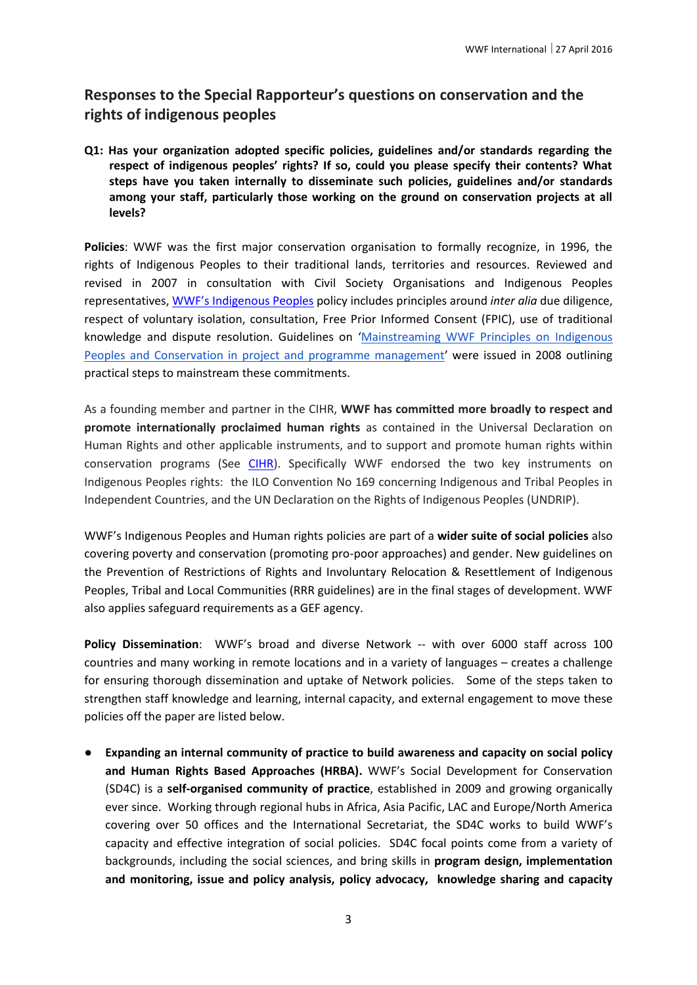# **Responses to the Special Rapporteur's questions on conservation and the rights of indigenous peoples**

**Q1: Has your organization adopted specific policies, guidelines and/or standards regarding the respect of indigenous peoples' rights? If so, could you please specify their contents? What steps have you taken internally to disseminate such policies, guidelines and/or standards among your staff, particularly those working on the ground on conservation projects at all levels?** 

**Policies**: WWF was the first major conservation organisation to formally recognize, in 1996, the rights of Indigenous Peoples to their traditional lands, territories and resources. Reviewed and revised in 2007 in consultation with Civil Society Organisations and Indigenous Peoples representatives, [WWF's Indigenous Peoples](http://wwf.panda.org/what_we_do/how_we_work/people_and_conservation/wwf_social_policies/indigenous_peoples/) policy includes principles around *inter alia* due diligence, respect of voluntary isolation, consultation, Free Prior Informed Consent (FPIC), use of traditional knowledge and dispute resolution. Guidelines on '[Mainstreaming WWF Principles on Indigenous](http://d2ouvy59p0dg6k.cloudfront.net/downloads/183747_wwf_guide_hotlinks.pdf)  [Peoples and Conservation in project and programme management](http://d2ouvy59p0dg6k.cloudfront.net/downloads/183747_wwf_guide_hotlinks.pdf)' were issued in 2008 outlining practical steps to mainstream these commitments.

As a founding member and partner in the CIHR, **WWF has committed more broadly to respect and promote internationally proclaimed human rights** as contained in the Universal Declaration on Human Rights and other applicable instruments, and to support and promote human rights within conservation programs (See [CIHR\)](http://d2ouvy59p0dg6k.cloudfront.net/downloads/cihrframeworkfeb2010.pdf). Specifically WWF endorsed the two key instruments on Indigenous Peoples rights: the ILO Convention No 169 concerning Indigenous and Tribal Peoples in Independent Countries, and the UN Declaration on the Rights of Indigenous Peoples (UNDRIP).

WWF's Indigenous Peoples and Human rights policies are part of a **wider suite of social policies** also covering poverty and conservation (promoting pro-poor approaches) and gender. New guidelines on the Prevention of Restrictions of Rights and Involuntary Relocation & Resettlement of Indigenous Peoples, Tribal and Local Communities (RRR guidelines) are in the final stages of development. WWF also applies safeguard requirements as a GEF agency.

**Policy Dissemination**: WWF's broad and diverse Network -- with over 6000 staff across 100 countries and many working in remote locations and in a variety of languages – creates a challenge for ensuring thorough dissemination and uptake of Network policies. Some of the steps taken to strengthen staff knowledge and learning, internal capacity, and external engagement to move these policies off the paper are listed below.

● **Expanding an internal community of practice to build awareness and capacity on social policy and Human Rights Based Approaches (HRBA).** WWF's Social Development for Conservation (SD4C) is a **self-organised community of practice**, established in 2009 and growing organically ever since. Working through regional hubs in Africa, Asia Pacific, LAC and Europe/North America covering over 50 offices and the International Secretariat, the SD4C works to build WWF's capacity and effective integration of social policies. SD4C focal points come from a variety of backgrounds, including the social sciences, and bring skills in **program design, implementation and monitoring, issue and policy analysis, policy advocacy, knowledge sharing and capacity**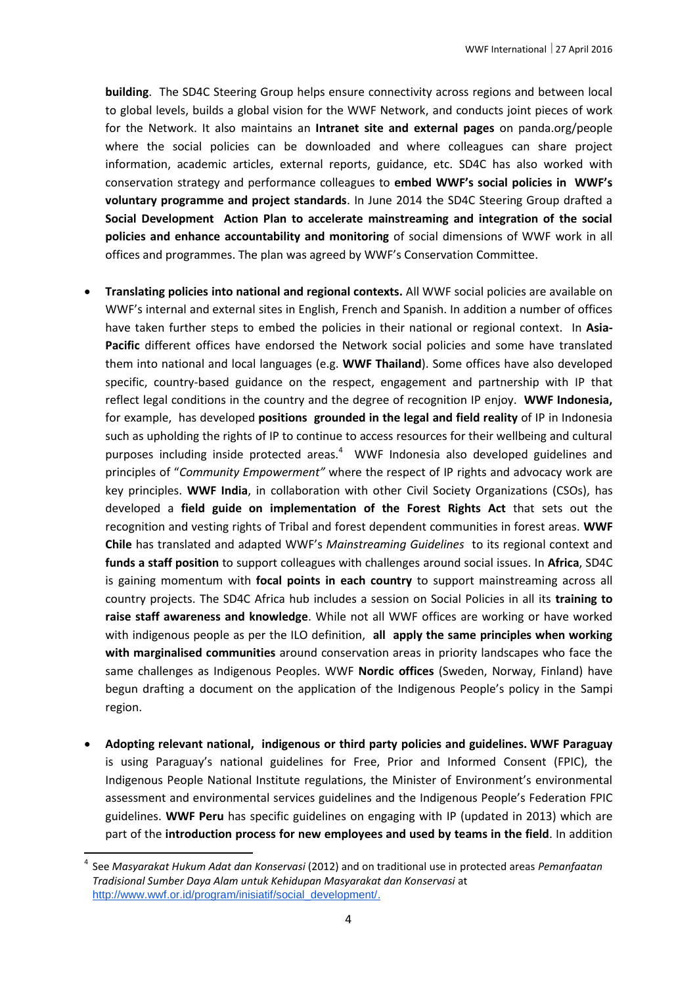**building**. The SD4C Steering Group helps ensure connectivity across regions and between local to global levels, builds a global vision for the WWF Network, and conducts joint pieces of work for the Network. It also maintains an **Intranet site and external pages** on panda.org/people where the social policies can be downloaded and where colleagues can share project information, academic articles, external reports, guidance, etc. SD4C has also worked with conservation strategy and performance colleagues to **embed WWF's social policies in WWF's voluntary programme and project standards**. In June 2014 the SD4C Steering Group drafted a **Social Development Action Plan to accelerate mainstreaming and integration of the social policies and enhance accountability and monitoring** of social dimensions of WWF work in all offices and programmes. The plan was agreed by WWF's Conservation Committee.

- **Translating policies into national and regional contexts.** All WWF social policies are available on WWF's internal and external sites in English, French and Spanish. In addition a number of offices have taken further steps to embed the policies in their national or regional context. In **Asia-Pacific** different offices have endorsed the Network social policies and some have translated them into national and local languages (e.g. **WWF Thailand**). Some offices have also developed specific, country-based guidance on the respect, engagement and partnership with IP that reflect legal conditions in the country and the degree of recognition IP enjoy. **WWF Indonesia,**  for example, has developed **positions grounded in the legal and field reality** of IP in Indonesia such as upholding the rights of IP to continue to access resources for their wellbeing and cultural purposes including inside protected areas.<sup>4</sup> WWF Indonesia also developed guidelines and principles of "*Community Empowerment"* where the respect of IP rights and advocacy work are key principles. **WWF India**, in collaboration with other Civil Society Organizations (CSOs), has developed a **field guide on implementation of the Forest Rights Act** that sets out the recognition and vesting rights of Tribal and forest dependent communities in forest areas. **WWF Chile** has translated and adapted WWF's *Mainstreaming Guidelines* to its regional context and **funds a staff position** to support colleagues with challenges around social issues. In **Africa**, SD4C is gaining momentum with **focal points in each country** to support mainstreaming across all country projects. The SD4C Africa hub includes a session on Social Policies in all its **training to raise staff awareness and knowledge**. While not all WWF offices are working or have worked with indigenous people as per the ILO definition, **all apply the same principles when working with marginalised communities** around conservation areas in priority landscapes who face the same challenges as Indigenous Peoples. WWF **Nordic offices** (Sweden, Norway, Finland) have begun drafting a document on the application of the Indigenous People's policy in the Sampi region.
- **Adopting relevant national, indigenous or third party policies and guidelines. WWF Paraguay**  is using Paraguay's national guidelines for Free, Prior and Informed Consent (FPIC), the Indigenous People National Institute regulations, the Minister of Environment's environmental assessment and environmental services guidelines and the Indigenous People's Federation FPIC guidelines. **WWF Peru** has specific guidelines on engaging with IP (updated in 2013) which are part of the **introduction process for new employees and used by teams in the field**. In addition

**.** 

<sup>4</sup> See *Masyarakat Hukum Adat dan Konservasi* (2012) and on traditional use in protected areas *Pemanfaatan Tradisional Sumber Daya Alam untuk Kehidupan Masyarakat dan Konservasi* at http://www.wwf.or.id/program/inisiatif/social\_development/.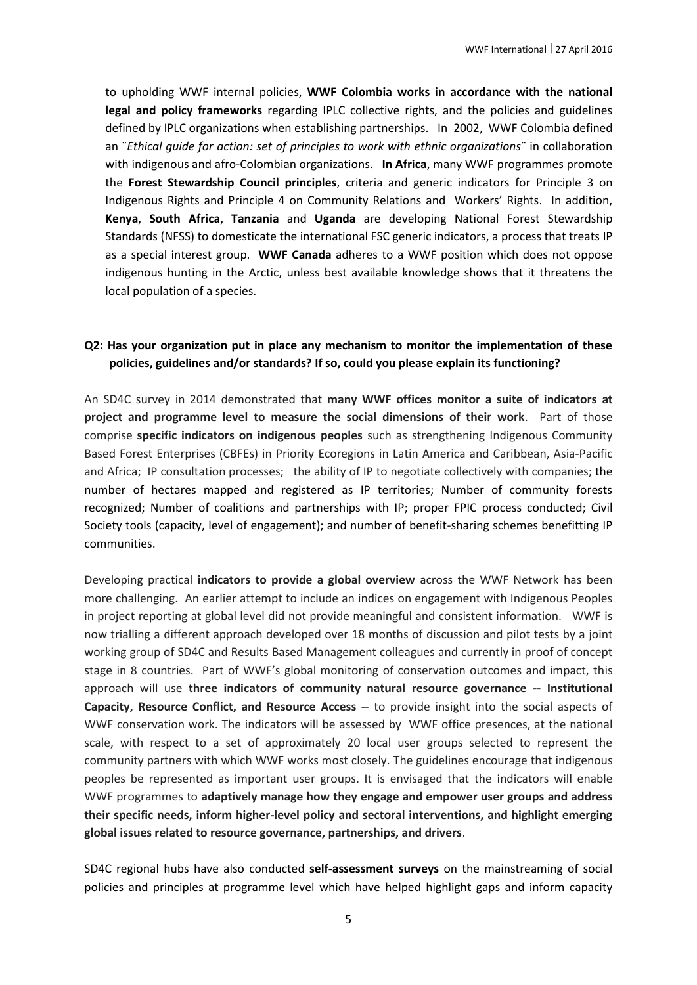to upholding WWF internal policies, **WWF Colombia works in accordance with the national legal and policy frameworks** regarding IPLC collective rights, and the policies and guidelines defined by IPLC organizations when establishing partnerships. In 2002, WWF Colombia defined an ¨*Ethical guide for action: set of principles to work with ethnic organizations*¨ in collaboration with indigenous and afro-Colombian organizations. **In Africa**, many WWF programmes promote the **Forest Stewardship Council principles**, criteria and generic indicators for Principle 3 on Indigenous Rights and Principle 4 on Community Relations and Workers' Rights. In addition, **Kenya**, **South Africa**, **Tanzania** and **Uganda** are developing National Forest Stewardship Standards (NFSS) to domesticate the international FSC generic indicators, a process that treats IP as a special interest group. **WWF Canada** adheres to a WWF position which does not oppose indigenous hunting in the Arctic, unless best available knowledge shows that it threatens the local population of a species.

#### **Q2: Has your organization put in place any mechanism to monitor the implementation of these policies, guidelines and/or standards? If so, could you please explain its functioning?**

An SD4C survey in 2014 demonstrated that **many WWF offices monitor a suite of indicators at project and programme level to measure the social dimensions of their work**. Part of those comprise **specific indicators on indigenous peoples** such as strengthening Indigenous Community Based Forest Enterprises (CBFEs) in Priority Ecoregions in Latin America and Caribbean, Asia-Pacific and Africa; IP consultation processes; the ability of IP to negotiate collectively with companies; the number of hectares mapped and registered as IP territories; Number of community forests recognized; Number of coalitions and partnerships with IP; proper FPIC process conducted; Civil Society tools (capacity, level of engagement); and number of benefit-sharing schemes benefitting IP communities.

Developing practical **indicators to provide a global overview** across the WWF Network has been more challenging. An earlier attempt to include an indices on engagement with Indigenous Peoples in project reporting at global level did not provide meaningful and consistent information. WWF is now trialling a different approach developed over 18 months of discussion and pilot tests by a joint working group of SD4C and Results Based Management colleagues and currently in proof of concept stage in 8 countries. Part of WWF's global monitoring of conservation outcomes and impact, this approach will use **three indicators of community natural resource governance -- Institutional Capacity, Resource Conflict, and Resource Access** -- to provide insight into the social aspects of WWF conservation work. The indicators will be assessed by WWF office presences, at the national scale, with respect to a set of approximately 20 local user groups selected to represent the community partners with which WWF works most closely. The guidelines encourage that indigenous peoples be represented as important user groups. It is envisaged that the indicators will enable WWF programmes to **adaptively manage how they engage and empower user groups and address their specific needs, inform higher-level policy and sectoral interventions, and highlight emerging global issues related to resource governance, partnerships, and drivers**.

SD4C regional hubs have also conducted **self-assessment surveys** on the mainstreaming of social policies and principles at programme level which have helped highlight gaps and inform capacity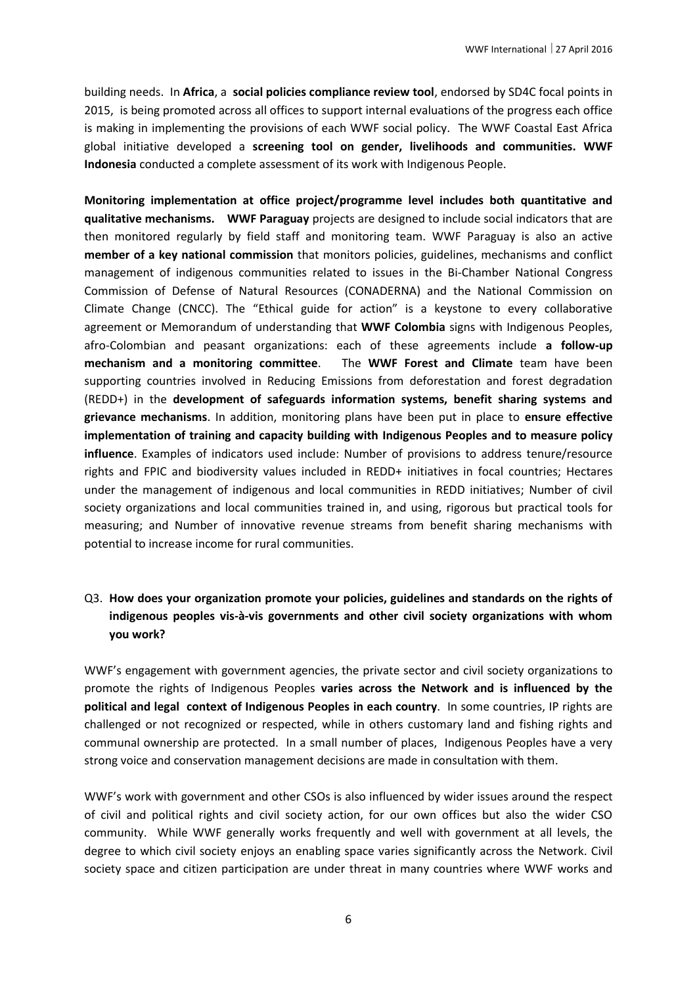building needs. In **Africa**, a **social policies compliance review tool**, endorsed by SD4C focal points in 2015, is being promoted across all offices to support internal evaluations of the progress each office is making in implementing the provisions of each WWF social policy. The WWF Coastal East Africa global initiative developed a **screening tool on gender, livelihoods and communities. WWF Indonesia** conducted a complete assessment of its work with Indigenous People.

**Monitoring implementation at office project/programme level includes both quantitative and qualitative mechanisms. WWF Paraguay** projects are designed to include social indicators that are then monitored regularly by field staff and monitoring team. WWF Paraguay is also an active **member of a key national commission** that monitors policies, guidelines, mechanisms and conflict management of indigenous communities related to issues in the Bi-Chamber National Congress Commission of Defense of Natural Resources (CONADERNA) and the National Commission on Climate Change (CNCC). The "Ethical guide for action" is a keystone to every collaborative agreement or Memorandum of understanding that **WWF Colombia** signs with Indigenous Peoples, afro-Colombian and peasant organizations: each of these agreements include **a follow-up mechanism and a monitoring committee**. The **WWF Forest and Climate** team have been supporting countries involved in Reducing Emissions from deforestation and forest degradation (REDD+) in the **development of safeguards information systems, benefit sharing systems and grievance mechanisms**. In addition, monitoring plans have been put in place to **ensure effective implementation of training and capacity building with Indigenous Peoples and to measure policy influence**. Examples of indicators used include: Number of provisions to address tenure/resource rights and FPIC and biodiversity values included in REDD+ initiatives in focal countries; Hectares under the management of indigenous and local communities in REDD initiatives; Number of civil society organizations and local communities trained in, and using, rigorous but practical tools for measuring; and Number of innovative revenue streams from benefit sharing mechanisms with potential to increase income for rural communities.

# Q3. **How does your organization promote your policies, guidelines and standards on the rights of indigenous peoples vis-à-vis governments and other civil society organizations with whom you work?**

WWF's engagement with government agencies, the private sector and civil society organizations to promote the rights of Indigenous Peoples **varies across the Network and is influenced by the political and legal context of Indigenous Peoples in each country**. In some countries, IP rights are challenged or not recognized or respected, while in others customary land and fishing rights and communal ownership are protected. In a small number of places, Indigenous Peoples have a very strong voice and conservation management decisions are made in consultation with them.

WWF's work with government and other CSOs is also influenced by wider issues around the respect of civil and political rights and civil society action, for our own offices but also the wider CSO community. While WWF generally works frequently and well with government at all levels, the degree to which civil society enjoys an enabling space varies significantly across the Network. Civil society space and citizen participation are under threat in many countries where WWF works and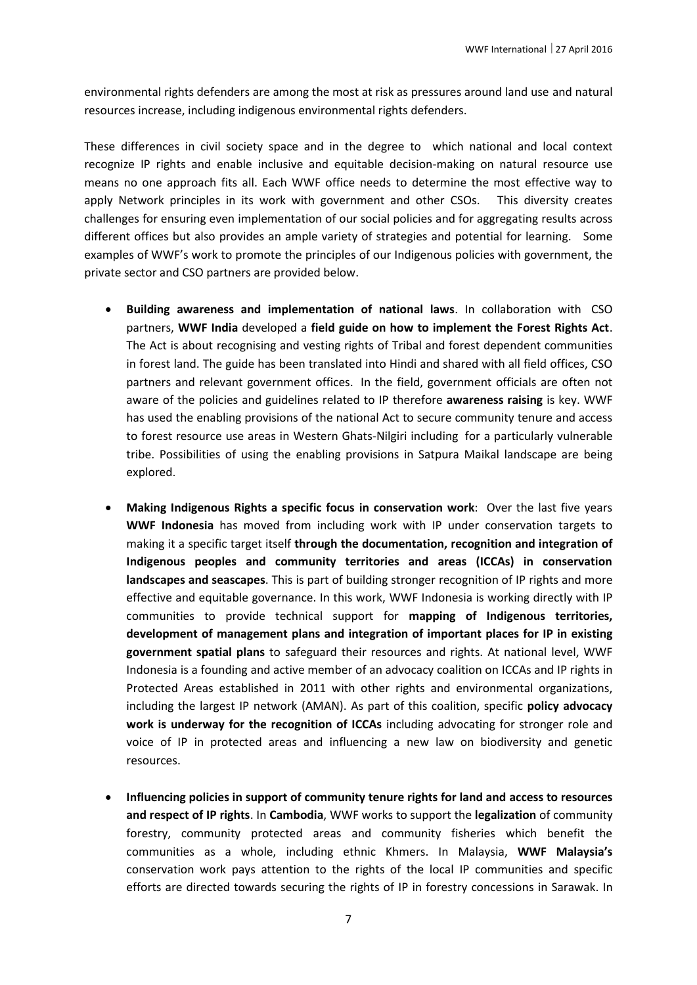environmental rights defenders are among the most at risk as pressures around land use and natural resources increase, including indigenous environmental rights defenders.

These differences in civil society space and in the degree to which national and local context recognize IP rights and enable inclusive and equitable decision-making on natural resource use means no one approach fits all. Each WWF office needs to determine the most effective way to apply Network principles in its work with government and other CSOs. This diversity creates challenges for ensuring even implementation of our social policies and for aggregating results across different offices but also provides an ample variety of strategies and potential for learning. Some examples of WWF's work to promote the principles of our Indigenous policies with government, the private sector and CSO partners are provided below.

- **Building awareness and implementation of national laws**. In collaboration with CSO partners, **WWF India** developed a **field guide on how to implement the Forest Rights Act**. The Act is about recognising and vesting rights of Tribal and forest dependent communities in forest land. The guide has been translated into Hindi and shared with all field offices, CSO partners and relevant government offices. In the field, government officials are often not aware of the policies and guidelines related to IP therefore **awareness raising** is key. WWF has used the enabling provisions of the national Act to secure community tenure and access to forest resource use areas in Western Ghats-Nilgiri including for a particularly vulnerable tribe. Possibilities of using the enabling provisions in Satpura Maikal landscape are being explored.
- **Making Indigenous Rights a specific focus in conservation work**: Over the last five years **WWF Indonesia** has moved from including work with IP under conservation targets to making it a specific target itself **through the documentation, recognition and integration of Indigenous peoples and community territories and areas (ICCAs) in conservation landscapes and seascapes**. This is part of building stronger recognition of IP rights and more effective and equitable governance. In this work, WWF Indonesia is working directly with IP communities to provide technical support for **mapping of Indigenous territories, development of management plans and integration of important places for IP in existing government spatial plans** to safeguard their resources and rights. At national level, WWF Indonesia is a founding and active member of an advocacy coalition on ICCAs and IP rights in Protected Areas established in 2011 with other rights and environmental organizations, including the largest IP network (AMAN). As part of this coalition, specific **policy advocacy work is underway for the recognition of ICCAs** including advocating for stronger role and voice of IP in protected areas and influencing a new law on biodiversity and genetic resources.
- **Influencing policies in support of community tenure rights for land and access to resources and respect of IP rights**. In **Cambodia**, WWF works to support the **legalization** of community forestry, community protected areas and community fisheries which benefit the communities as a whole, including ethnic Khmers. In Malaysia, **WWF Malaysia's** conservation work pays attention to the rights of the local IP communities and specific efforts are directed towards securing the rights of IP in forestry concessions in Sarawak. In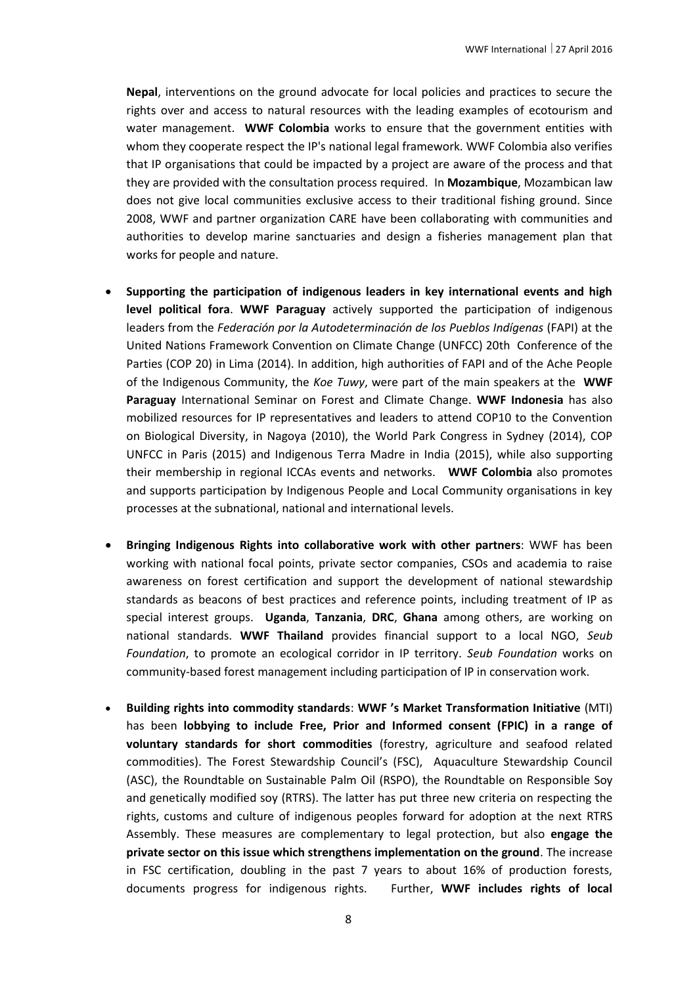**Nepal**, interventions on the ground advocate for local policies and practices to secure the rights over and access to natural resources with the leading examples of ecotourism and water management. **WWF Colombia** works to ensure that the government entities with whom they cooperate respect the IP's national legal framework. WWF Colombia also verifies that IP organisations that could be impacted by a project are aware of the process and that they are provided with the consultation process required. In **Mozambique**, Mozambican law does not give local communities exclusive access to their traditional fishing ground. Since 2008, WWF and partner organization CARE have been collaborating with communities and authorities to develop marine sanctuaries and design a fisheries management plan that works for people and nature.

- **Supporting the participation of indigenous leaders in key international events and high level political fora**. **WWF Paraguay** actively supported the participation of indigenous leaders from the *Federación por la Autodeterminación de los Pueblos Indígenas* (FAPI) at the United Nations Framework Convention on Climate Change (UNFCC) 20th Conference of the Parties (COP 20) in Lima (2014). In addition, high authorities of FAPI and of the Ache People of the Indigenous Community, the *Koe Tuwy*, were part of the main speakers at the **WWF Paraguay** International Seminar on Forest and Climate Change. **WWF Indonesia** has also mobilized resources for IP representatives and leaders to attend COP10 to the Convention on Biological Diversity, in Nagoya (2010), the World Park Congress in Sydney (2014), COP UNFCC in Paris (2015) and Indigenous Terra Madre in India (2015), while also supporting their membership in regional ICCAs events and networks. **WWF Colombia** also promotes and supports participation by Indigenous People and Local Community organisations in key processes at the subnational, national and international levels.
- **Bringing Indigenous Rights into collaborative work with other partners**: WWF has been working with national focal points, private sector companies, CSOs and academia to raise awareness on forest certification and support the development of national stewardship standards as beacons of best practices and reference points, including treatment of IP as special interest groups. **Uganda**, **Tanzania**, **DRC**, **Ghana** among others, are working on national standards. **WWF Thailand** provides financial support to a local NGO, *Seub Foundation*, to promote an ecological corridor in IP territory. *Seub Foundation* works on community-based forest management including participation of IP in conservation work.
- **Building rights into commodity standards**: **WWF 's Market Transformation Initiative** (MTI) has been **lobbying to include Free, Prior and Informed consent (FPIC) in a range of voluntary standards for short commodities** (forestry, agriculture and seafood related commodities). The Forest Stewardship Council's (FSC), Aquaculture Stewardship Council (ASC), the Roundtable on Sustainable Palm Oil (RSPO), the Roundtable on Responsible Soy and genetically modified soy (RTRS). The latter has put three new criteria on respecting the rights, customs and culture of indigenous peoples forward for adoption at the next RTRS Assembly. These measures are complementary to legal protection, but also **engage the private sector on this issue which strengthens implementation on the ground**. The increase in FSC certification, doubling in the past 7 years to about 16% of production forests, documents progress for indigenous rights. Further, **WWF includes rights of local**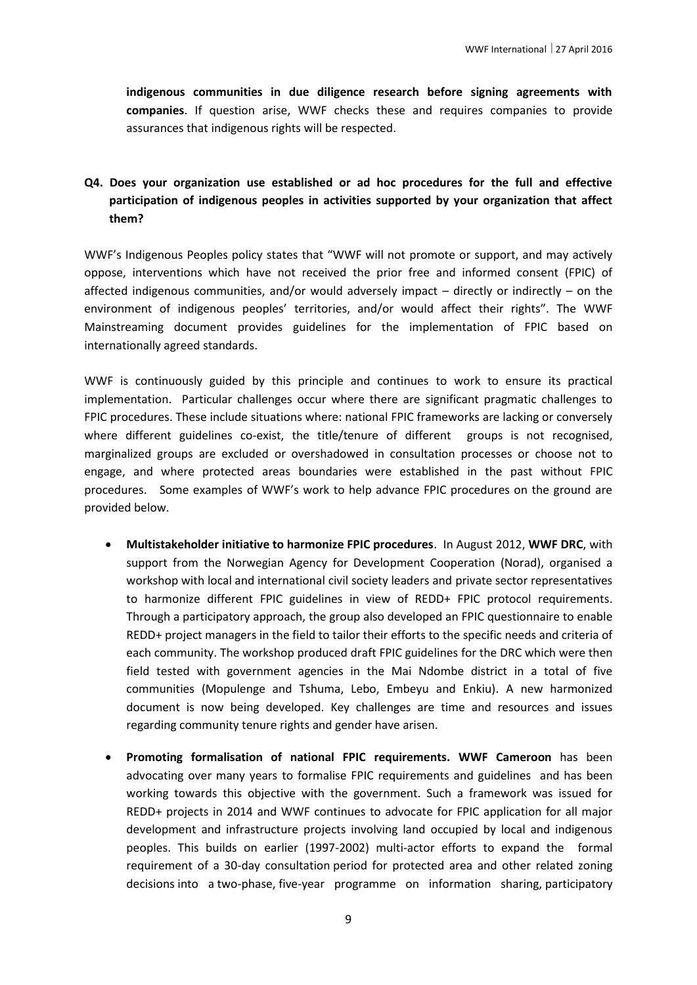**indigenous communities in due diligence research before signing agreements with companies**. If question arise, WWF checks these and requires companies to provide assurances that indigenous rights will be respected.

# **Q4. Does your organization use established or ad hoc procedures for the full and effective participation of indigenous peoples in activities supported by your organization that affect them?**

WWF's Indigenous Peoples policy states that "WWF will not promote or support, and may actively oppose, interventions which have not received the prior free and informed consent (FPIC) of affected indigenous communities, and/or would adversely impact – directly or indirectly – on the environment of indigenous peoples' territories, and/or would affect their rights". The WWF Mainstreaming document provides guidelines for the implementation of FPIC based on internationally agreed standards.

WWF is continuously guided by this principle and continues to work to ensure its practical implementation. Particular challenges occur where there are significant pragmatic challenges to FPIC procedures. These include situations where: national FPIC frameworks are lacking or conversely where different guidelines co-exist, the title/tenure of different groups is not recognised, marginalized groups are excluded or overshadowed in consultation processes or choose not to engage, and where protected areas boundaries were established in the past without FPIC procedures. Some examples of WWF's work to help advance FPIC procedures on the ground are provided below.

- **Multistakeholder initiative to harmonize FPIC procedures**. In August 2012, **WWF DRC**, with support from the Norwegian Agency for Development Cooperation (Norad), organised a workshop with local and international civil society leaders and private sector representatives to harmonize different FPIC guidelines in view of REDD+ FPIC protocol requirements. Through a participatory approach, the group also developed an FPIC questionnaire to enable REDD+ project managers in the field to tailor their efforts to the specific needs and criteria of each community. The workshop produced draft FPIC guidelines for the DRC which were then field tested with government agencies in the Mai Ndombe district in a total of five communities (Mopulenge and Tshuma, Lebo, Embeyu and Enkiu). A new harmonized document is now being developed. Key challenges are time and resources and issues regarding community tenure rights and gender have arisen.
- **Promoting formalisation of national FPIC requirements. WWF Cameroon** has been advocating over many years to formalise FPIC requirements and guidelines and has been working towards this objective with the government. Such a framework was issued for REDD+ projects in 2014 and WWF continues to advocate for FPIC application for all major development and infrastructure projects involving land occupied by local and indigenous peoples. This builds on earlier (1997-2002) multi-actor efforts to expand the formal requirement of a 30-day consultation period for protected area and other related zoning decisions into a two-phase, five-year programme on information sharing, participatory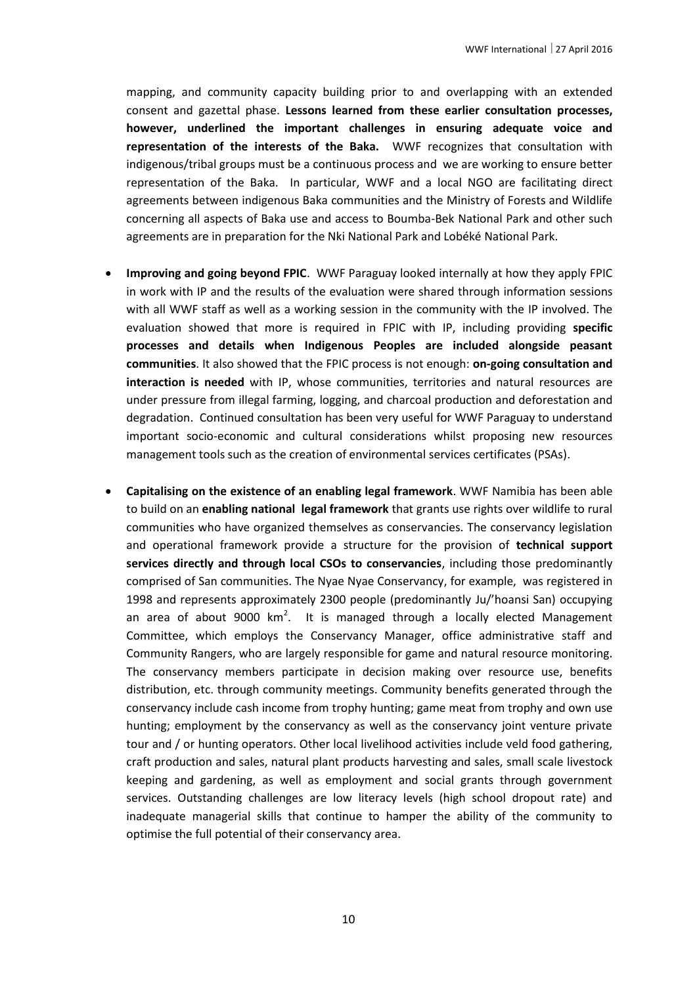mapping, and community capacity building prior to and overlapping with an extended consent and gazettal phase. **Lessons learned from these earlier consultation processes, however, underlined the important challenges in ensuring adequate voice and representation of the interests of the Baka.** WWF recognizes that consultation with indigenous/tribal groups must be a continuous process and we are working to ensure better representation of the Baka. In particular, WWF and a local NGO are facilitating direct agreements between indigenous Baka communities and the Ministry of Forests and Wildlife concerning all aspects of Baka use and access to Boumba-Bek National Park and other such agreements are in preparation for the Nki National Park and Lobéké National Park.

- **Improving and going beyond FPIC**. WWF Paraguay looked internally at how they apply FPIC in work with IP and the results of the evaluation were shared through information sessions with all WWF staff as well as a working session in the community with the IP involved. The evaluation showed that more is required in FPIC with IP, including providing **specific processes and details when Indigenous Peoples are included alongside peasant communities**. It also showed that the FPIC process is not enough: **on-going consultation and interaction is needed** with IP, whose communities, territories and natural resources are under pressure from illegal farming, logging, and charcoal production and deforestation and degradation. Continued consultation has been very useful for WWF Paraguay to understand important socio-economic and cultural considerations whilst proposing new resources management tools such as the creation of environmental services certificates (PSAs).
- **Capitalising on the existence of an enabling legal framework**. WWF Namibia has been able to build on an **enabling national legal framework** that grants use rights over wildlife to rural communities who have organized themselves as conservancies. The conservancy legislation and operational framework provide a structure for the provision of **technical support services directly and through local CSOs to conservancies**, including those predominantly comprised of San communities. The Nyae Nyae Conservancy, for example, was registered in 1998 and represents approximately 2300 people (predominantly Ju/'hoansi San) occupying an area of about 9000  $km^2$ . It is managed through a locally elected Management Committee, which employs the Conservancy Manager, office administrative staff and Community Rangers, who are largely responsible for game and natural resource monitoring. The conservancy members participate in decision making over resource use, benefits distribution, etc. through community meetings. Community benefits generated through the conservancy include cash income from trophy hunting; game meat from trophy and own use hunting; employment by the conservancy as well as the conservancy joint venture private tour and / or hunting operators. Other local livelihood activities include veld food gathering, craft production and sales, natural plant products harvesting and sales, small scale livestock keeping and gardening, as well as employment and social grants through government services. Outstanding challenges are low literacy levels (high school dropout rate) and inadequate managerial skills that continue to hamper the ability of the community to optimise the full potential of their conservancy area.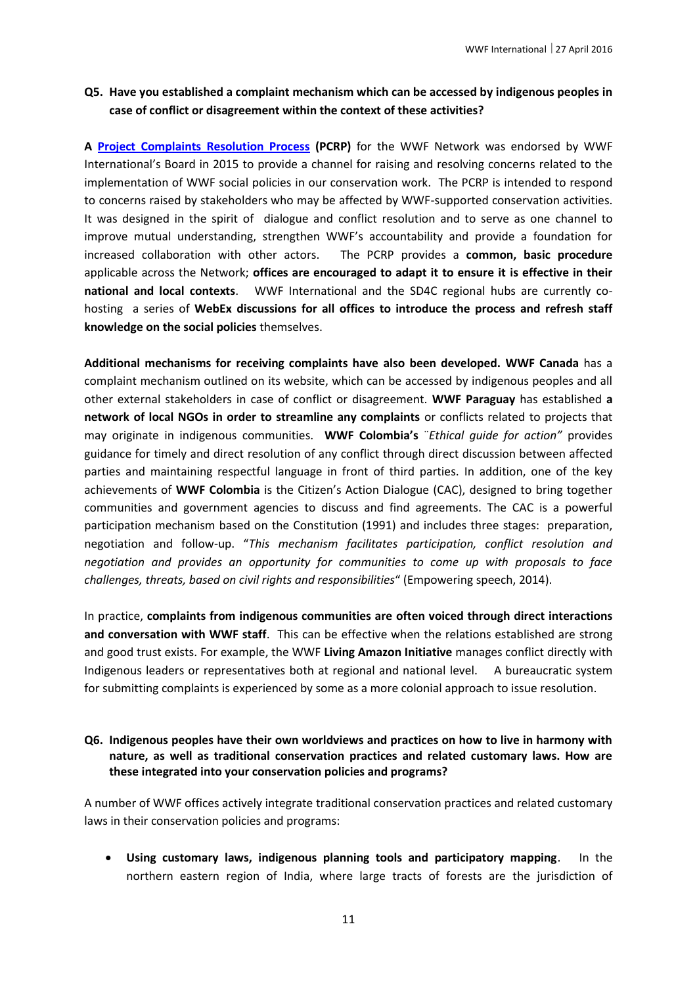#### **Q5. Have you established a complaint mechanism which can be accessed by indigenous peoples in case of conflict or disagreement within the context of these activities?**

**A [Project Complaints Resolution Process](http://d2ouvy59p0dg6k.cloudfront.net/downloads/wwf_project_complaints_resolution_process_final_jan16.pdf) (PCRP)** for the WWF Network was endorsed by WWF International's Board in 2015 to provide a channel for raising and resolving concerns related to the implementation of WWF social policies in our conservation work. The PCRP is intended to respond to concerns raised by stakeholders who may be affected by WWF-supported conservation activities. It was designed in the spirit of dialogue and conflict resolution and to serve as one channel to improve mutual understanding, strengthen WWF's accountability and provide a foundation for increased collaboration with other actors. The PCRP provides a **common, basic procedure** applicable across the Network; **offices are encouraged to adapt it to ensure it is effective in their national and local contexts**. WWF International and the SD4C regional hubs are currently cohosting a series of **WebEx discussions for all offices to introduce the process and refresh staff knowledge on the social policies** themselves.

**Additional mechanisms for receiving complaints have also been developed. WWF Canada** has a complaint mechanism outlined on its website, which can be accessed by indigenous peoples and all other external stakeholders in case of conflict or disagreement. **WWF Paraguay** has established **a network of local NGOs in order to streamline any complaints** or conflicts related to projects that may originate in indigenous communities. **WWF Colombia's** ¨*Ethical guide for action"* provides guidance for timely and direct resolution of any conflict through direct discussion between affected parties and maintaining respectful language in front of third parties. In addition, one of the key achievements of **WWF Colombia** is the Citizen's Action Dialogue (CAC), designed to bring together communities and government agencies to discuss and find agreements. The CAC is a powerful participation mechanism based on the Constitution (1991) and includes three stages: preparation, negotiation and follow-up. "*This mechanism facilitates participation, conflict resolution and negotiation and provides an opportunity for communities to come up with proposals to face challenges, threats, based on civil rights and responsibilities*" (Empowering speech, 2014).

In practice, **complaints from indigenous communities are often voiced through direct interactions and conversation with WWF staff**. This can be effective when the relations established are strong and good trust exists. For example, the WWF **Living Amazon Initiative** manages conflict directly with Indigenous leaders or representatives both at regional and national level. A bureaucratic system for submitting complaints is experienced by some as a more colonial approach to issue resolution.

#### **Q6. Indigenous peoples have their own worldviews and practices on how to live in harmony with nature, as well as traditional conservation practices and related customary laws. How are these integrated into your conservation policies and programs?**

A number of WWF offices actively integrate traditional conservation practices and related customary laws in their conservation policies and programs:

 **Using customary laws, indigenous planning tools and participatory mapping**. In the northern eastern region of India, where large tracts of forests are the jurisdiction of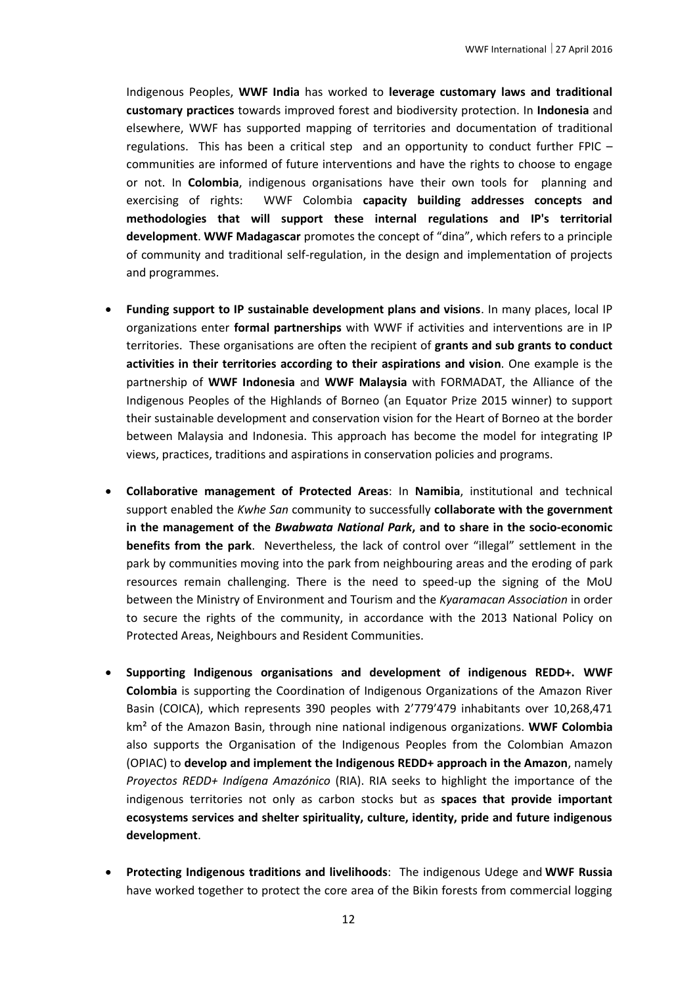Indigenous Peoples, **WWF India** has worked to **leverage customary laws and traditional customary practices** towards improved forest and biodiversity protection. In **Indonesia** and elsewhere, WWF has supported mapping of territories and documentation of traditional regulations. This has been a critical step and an opportunity to conduct further FPIC – communities are informed of future interventions and have the rights to choose to engage or not. In **Colombia**, indigenous organisations have their own tools for planning and exercising of rights: WWF Colombia **capacity building addresses concepts and methodologies that will support these internal regulations and IP's territorial development**. **WWF Madagascar** promotes the concept of "dina", which refers to a principle of community and traditional self-regulation, in the design and implementation of projects and programmes.

- **Funding support to IP sustainable development plans and visions**. In many places, local IP organizations enter **formal partnerships** with WWF if activities and interventions are in IP territories. These organisations are often the recipient of **grants and sub grants to conduct activities in their territories according to their aspirations and vision**. One example is the partnership of **WWF Indonesia** and **WWF Malaysia** with FORMADAT, the Alliance of the Indigenous Peoples of the Highlands of Borneo (an Equator Prize 2015 winner) to support their sustainable development and conservation vision for the Heart of Borneo at the border between Malaysia and Indonesia. This approach has become the model for integrating IP views, practices, traditions and aspirations in conservation policies and programs.
- **Collaborative management of Protected Areas**: In **Namibia**, institutional and technical support enabled the *Kwhe San* community to successfully **collaborate with the government in the management of the** *Bwabwata National Park***, and to share in the socio-economic benefits from the park**. Nevertheless, the lack of control over "illegal" settlement in the park by communities moving into the park from neighbouring areas and the eroding of park resources remain challenging. There is the need to speed-up the signing of the MoU between the Ministry of Environment and Tourism and the *Kyaramacan Association* in order to secure the rights of the community, in accordance with the 2013 National Policy on Protected Areas, Neighbours and Resident Communities.
- **Supporting Indigenous organisations and development of indigenous REDD+. WWF Colombia** is supporting the Coordination of Indigenous Organizations of the Amazon River Basin (COICA), which represents 390 peoples with 2'779'479 inhabitants over 10,268,471 km² of the Amazon Basin, through nine national indigenous organizations. **WWF Colombia**  also supports the Organisation of the Indigenous Peoples from the Colombian Amazon (OPIAC) to **develop and implement the Indigenous REDD+ approach in the Amazon**, namely *Proyectos REDD+ Indígena Amazónico* (RIA). RIA seeks to highlight the importance of the indigenous territories not only as carbon stocks but as **spaces that provide important ecosystems services and shelter spirituality, culture, identity, pride and future indigenous development**.
- **Protecting Indigenous traditions and livelihoods**: The indigenous Udege and **WWF Russia** have worked together to protect the core area of the Bikin forests from commercial logging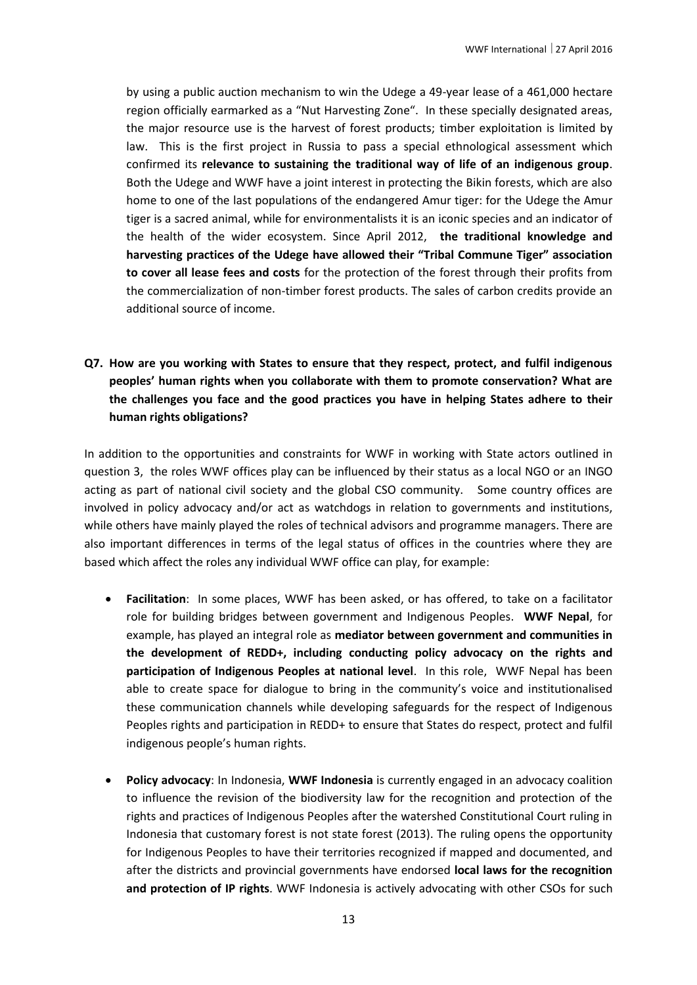by using a public auction mechanism to win the Udege a 49-year lease of a 461,000 hectare region officially earmarked as a "Nut Harvesting Zone". In these specially designated areas, the major resource use is the harvest of forest products; timber exploitation is limited by law. This is the first project in Russia to pass a special ethnological assessment which confirmed its **relevance to sustaining the traditional way of life of an indigenous group**. Both the Udege and WWF have a joint interest in protecting the Bikin forests, which are also home to one of the last populations of the endangered Amur tiger: for the Udege the Amur tiger is a sacred animal, while for environmentalists it is an iconic species and an indicator of the health of the wider ecosystem. Since April 2012, **the traditional knowledge and harvesting practices of the Udege have allowed their "Tribal Commune Tiger" association to cover all lease fees and costs** for the protection of the forest through their profits from the commercialization of non-timber forest products. The sales of carbon credits provide an additional source of income.

# **Q7. How are you working with States to ensure that they respect, protect, and fulfil indigenous peoples' human rights when you collaborate with them to promote conservation? What are the challenges you face and the good practices you have in helping States adhere to their human rights obligations?**

In addition to the opportunities and constraints for WWF in working with State actors outlined in question 3, the roles WWF offices play can be influenced by their status as a local NGO or an INGO acting as part of national civil society and the global CSO community. Some country offices are involved in policy advocacy and/or act as watchdogs in relation to governments and institutions, while others have mainly played the roles of technical advisors and programme managers. There are also important differences in terms of the legal status of offices in the countries where they are based which affect the roles any individual WWF office can play, for example:

- **Facilitation**: In some places, WWF has been asked, or has offered, to take on a facilitator role for building bridges between government and Indigenous Peoples. **WWF Nepal**, for example, has played an integral role as **mediator between government and communities in the development of REDD+, including conducting policy advocacy on the rights and participation of Indigenous Peoples at national level**. In this role, WWF Nepal has been able to create space for dialogue to bring in the community's voice and institutionalised these communication channels while developing safeguards for the respect of Indigenous Peoples rights and participation in REDD+ to ensure that States do respect, protect and fulfil indigenous people's human rights.
- **Policy advocacy**: In Indonesia, **WWF Indonesia** is currently engaged in an advocacy coalition to influence the revision of the biodiversity law for the recognition and protection of the rights and practices of Indigenous Peoples after the watershed Constitutional Court ruling in Indonesia that customary forest is not state forest (2013). The ruling opens the opportunity for Indigenous Peoples to have their territories recognized if mapped and documented, and after the districts and provincial governments have endorsed **local laws for the recognition and protection of IP rights**. WWF Indonesia is actively advocating with other CSOs for such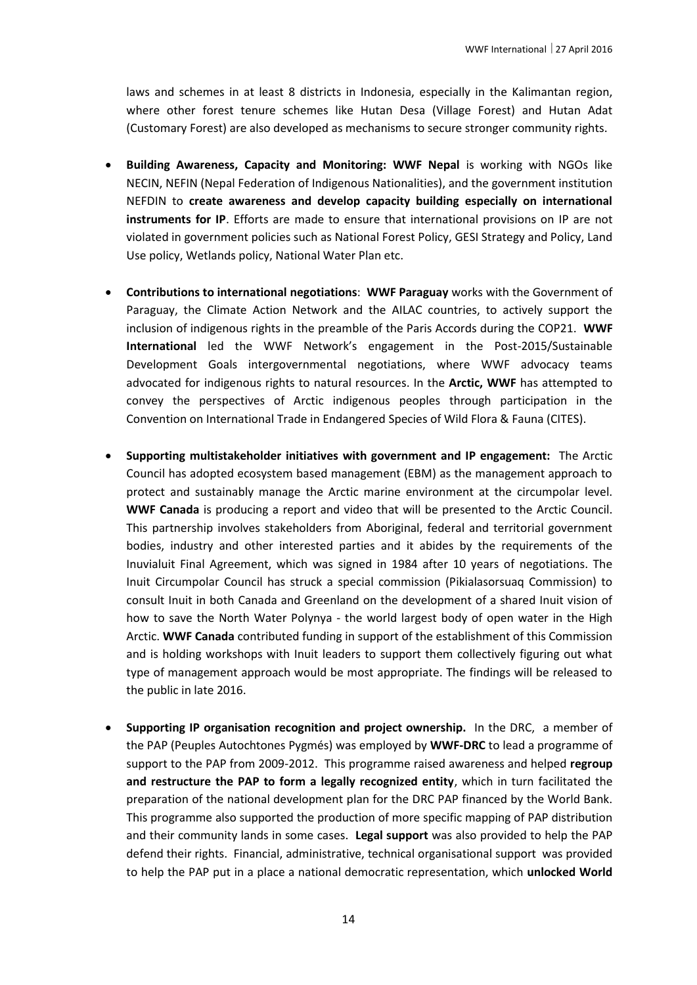laws and schemes in at least 8 districts in Indonesia, especially in the Kalimantan region, where other forest tenure schemes like Hutan Desa (Village Forest) and Hutan Adat (Customary Forest) are also developed as mechanisms to secure stronger community rights.

- **Building Awareness, Capacity and Monitoring: WWF Nepal** is working with NGOs like NECIN, NEFIN (Nepal Federation of Indigenous Nationalities), and the government institution NEFDIN to **create awareness and develop capacity building especially on international instruments for IP**. Efforts are made to ensure that international provisions on IP are not violated in government policies such as National Forest Policy, GESI Strategy and Policy, Land Use policy, Wetlands policy, National Water Plan etc.
- **Contributions to international negotiations**: **WWF Paraguay** works with the Government of Paraguay, the Climate Action Network and the AILAC countries, to actively support the inclusion of indigenous rights in the preamble of the Paris Accords during the COP21. **WWF International** led the WWF Network's engagement in the Post-2015/Sustainable Development Goals intergovernmental negotiations, where WWF advocacy teams advocated for indigenous rights to natural resources. In the **Arctic, WWF** has attempted to convey the perspectives of Arctic indigenous peoples through participation in the Convention on International Trade in Endangered Species of Wild Flora & Fauna (CITES).
- **Supporting multistakeholder initiatives with government and IP engagement:** The Arctic Council has adopted ecosystem based management (EBM) as the management approach to protect and sustainably manage the Arctic marine environment at the circumpolar level. **WWF Canada** is producing a report and video that will be presented to the Arctic Council. This partnership involves stakeholders from Aboriginal, federal and territorial government bodies, industry and other interested parties and it abides by the requirements of the Inuvialuit Final Agreement, which was signed in 1984 after 10 years of negotiations. The Inuit Circumpolar Council has struck a special commission (Pikialasorsuaq Commission) to consult Inuit in both Canada and Greenland on the development of a shared Inuit vision of how to save the North Water Polynya - the world largest body of open water in the High Arctic. **WWF Canada** contributed funding in support of the establishment of this Commission and is holding workshops with Inuit leaders to support them collectively figuring out what type of management approach would be most appropriate. The findings will be released to the public in late 2016.
- **Supporting IP organisation recognition and project ownership.** In the DRC, a member of the PAP (Peuples Autochtones Pygmés) was employed by **WWF-DRC** to lead a programme of support to the PAP from 2009-2012. This programme raised awareness and helped **regroup and restructure the PAP to form a legally recognized entity**, which in turn facilitated the preparation of the national development plan for the DRC PAP financed by the World Bank. This programme also supported the production of more specific mapping of PAP distribution and their community lands in some cases. **Legal support** was also provided to help the PAP defend their rights. Financial, administrative, technical organisational support was provided to help the PAP put in a place a national democratic representation, which **unlocked World**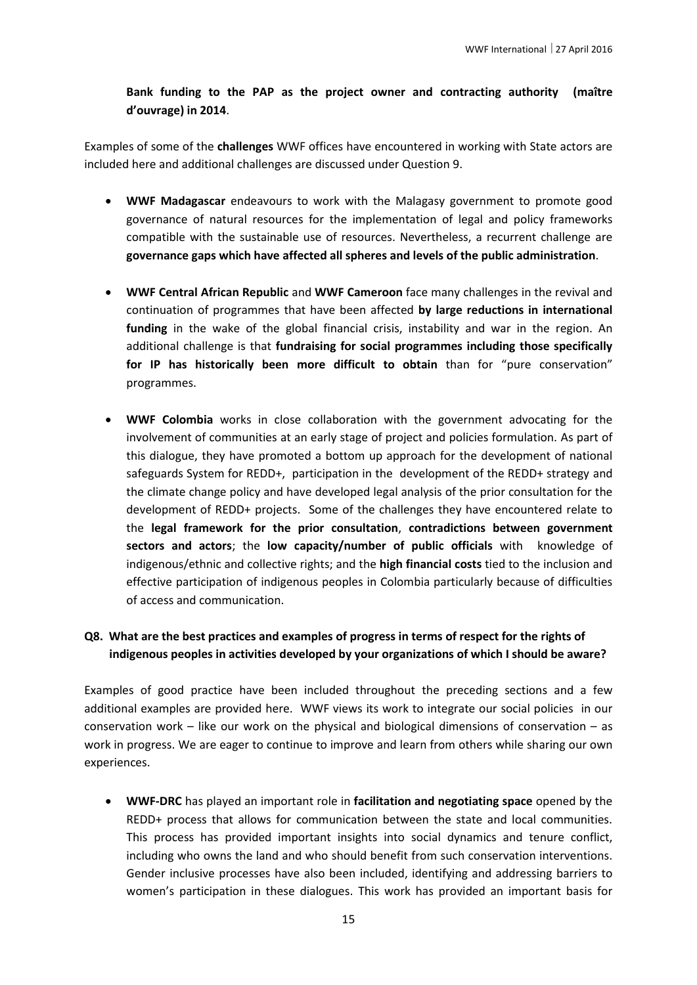### **Bank funding to the PAP as the project owner and contracting authority (maître d'ouvrage) in 2014**.

Examples of some of the **challenges** WWF offices have encountered in working with State actors are included here and additional challenges are discussed under Question 9.

- **WWF Madagascar** endeavours to work with the Malagasy government to promote good governance of natural resources for the implementation of legal and policy frameworks compatible with the sustainable use of resources. Nevertheless, a recurrent challenge are **governance gaps which have affected all spheres and levels of the public administration**.
- **WWF Central African Republic** and **WWF Cameroon** face many challenges in the revival and continuation of programmes that have been affected **by large reductions in international funding** in the wake of the global financial crisis, instability and war in the region. An additional challenge is that **fundraising for social programmes including those specifically for IP has historically been more difficult to obtain** than for "pure conservation" programmes.
- **WWF Colombia** works in close collaboration with the government advocating for the involvement of communities at an early stage of project and policies formulation. As part of this dialogue, they have promoted a bottom up approach for the development of national safeguards System for REDD+, participation in the development of the REDD+ strategy and the climate change policy and have developed legal analysis of the prior consultation for the development of REDD+ projects. Some of the challenges they have encountered relate to the **legal framework for the prior consultation**, **contradictions between government sectors and actors**; the **low capacity/number of public officials** with knowledge of indigenous/ethnic and collective rights; and the **high financial costs** tied to the inclusion and effective participation of indigenous peoples in Colombia particularly because of difficulties of access and communication.

## **Q8. What are the best practices and examples of progress in terms of respect for the rights of indigenous peoples in activities developed by your organizations of which I should be aware?**

Examples of good practice have been included throughout the preceding sections and a few additional examples are provided here. WWF views its work to integrate our social policies in our conservation work – like our work on the physical and biological dimensions of conservation – as work in progress. We are eager to continue to improve and learn from others while sharing our own experiences.

 **WWF-DRC** has played an important role in **facilitation and negotiating space** opened by the REDD+ process that allows for communication between the state and local communities. This process has provided important insights into social dynamics and tenure conflict, including who owns the land and who should benefit from such conservation interventions. Gender inclusive processes have also been included, identifying and addressing barriers to women's participation in these dialogues. This work has provided an important basis for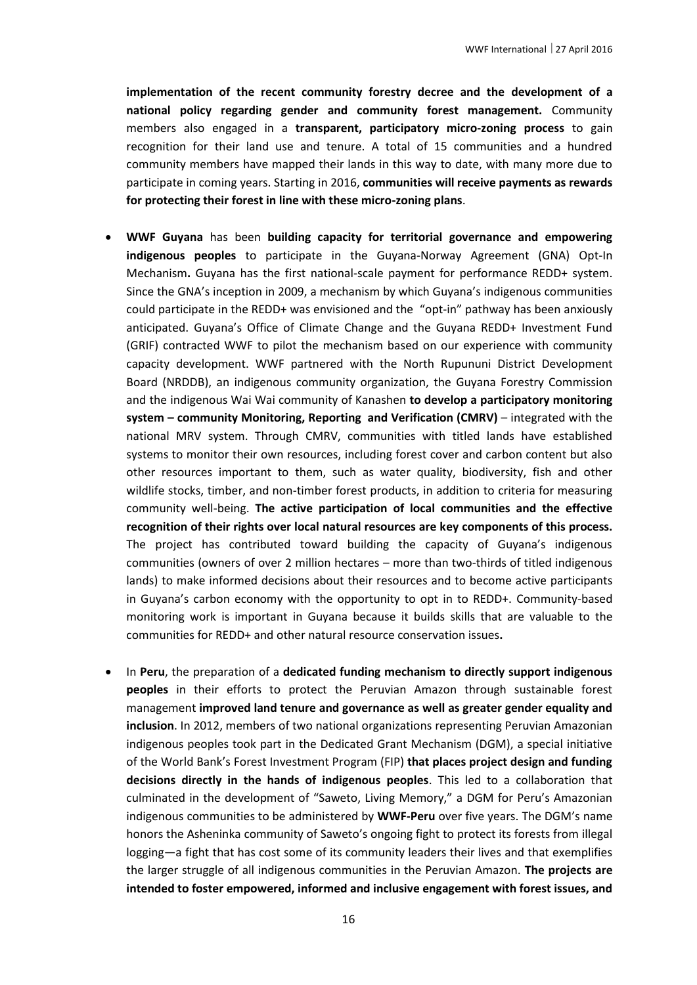**implementation of the recent community forestry decree and the development of a national policy regarding gender and community forest management.** Community members also engaged in a **transparent, participatory micro-zoning process** to gain recognition for their land use and tenure. A total of 15 communities and a hundred community members have mapped their lands in this way to date, with many more due to participate in coming years. Starting in 2016, **communities will receive payments as rewards for protecting their forest in line with these micro-zoning plans**.

- **WWF Guyana** has been **building capacity for territorial governance and empowering indigenous peoples** to participate in the Guyana-Norway Agreement (GNA) Opt-In Mechanism**.** Guyana has the first national-scale payment for performance REDD+ system. Since the GNA's inception in 2009, a mechanism by which Guyana's indigenous communities could participate in the REDD+ was envisioned and the "opt-in" pathway has been anxiously anticipated. Guyana's Office of Climate Change and the Guyana REDD+ Investment Fund (GRIF) contracted WWF to pilot the mechanism based on our experience with community capacity development. WWF partnered with the North Rupununi District Development Board (NRDDB), an indigenous community organization, the Guyana Forestry Commission and the indigenous Wai Wai community of Kanashen **to develop a participatory monitoring system – community Monitoring, Reporting and Verification (CMRV)** – integrated with the national MRV system. Through CMRV, communities with titled lands have established systems to monitor their own resources, including forest cover and carbon content but also other resources important to them, such as water quality, biodiversity, fish and other wildlife stocks, timber, and non-timber forest products, in addition to criteria for measuring community well-being. **The active participation of local communities and the effective recognition of their rights over local natural resources are key components of this process.** The project has contributed toward building the capacity of Guyana's indigenous communities (owners of over 2 million hectares – more than two-thirds of titled indigenous lands) to make informed decisions about their resources and to become active participants in Guyana's carbon economy with the opportunity to opt in to REDD+. Community-based monitoring work is important in Guyana because it builds skills that are valuable to the communities for REDD+ and other natural resource conservation issues**.**
- In **Peru**, the preparation of a **dedicated funding mechanism to directly support indigenous peoples** in their efforts to protect the Peruvian Amazon through sustainable forest management **improved land tenure and governance as well as greater gender equality and inclusion**. In 2012, members of two national organizations representing Peruvian Amazonian indigenous peoples took part in the Dedicated Grant Mechanism (DGM), a special initiative of the World Bank's Forest Investment Program (FIP) **that places project design and funding decisions directly in the hands of indigenous peoples**. This led to a collaboration that culminated in the development of "Saweto, Living Memory," a DGM for Peru's Amazonian indigenous communities to be administered by **WWF-Peru** over five years. The DGM's name honors the Asheninka community of Saweto's ongoing fight to protect its forests from illegal logging—a fight that has cost some of its community leaders their lives and that exemplifies the larger struggle of all indigenous communities in the Peruvian Amazon. **The projects are intended to foster empowered, informed and inclusive engagement with forest issues, and**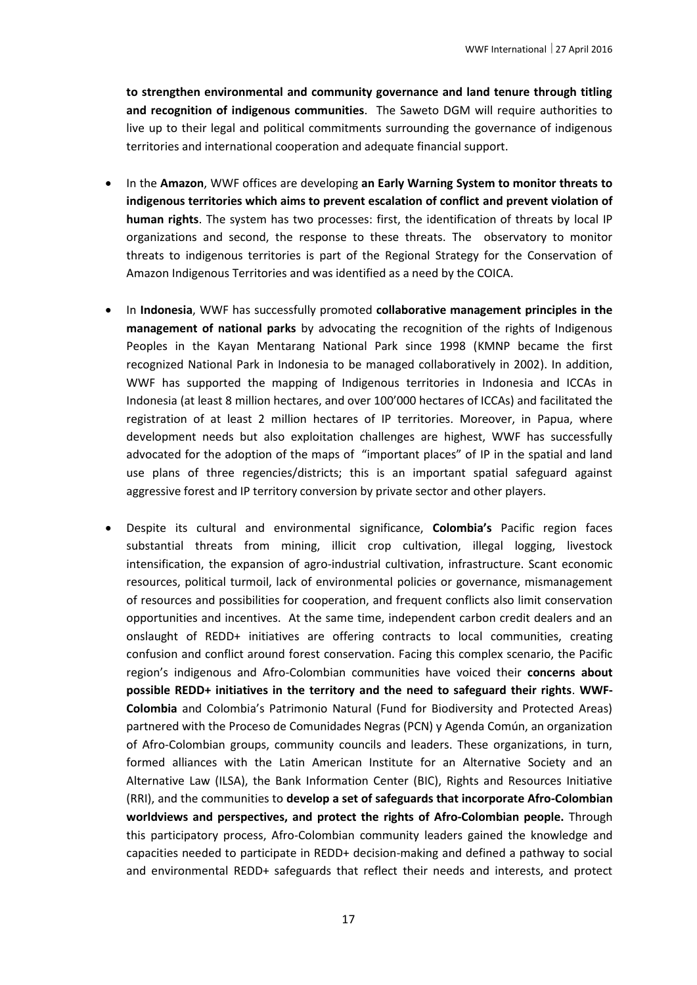**to strengthen environmental and community governance and land tenure through titling and recognition of indigenous communities**. The Saweto DGM will require authorities to live up to their legal and political commitments surrounding the governance of indigenous territories and international cooperation and adequate financial support.

- In the **Amazon**, WWF offices are developing **an Early Warning System to monitor threats to indigenous territories which aims to prevent escalation of conflict and prevent violation of human rights**. The system has two processes: first, the identification of threats by local IP organizations and second, the response to these threats. The observatory to monitor threats to indigenous territories is part of the Regional Strategy for the Conservation of Amazon Indigenous Territories and was identified as a need by the COICA.
- In **Indonesia**, WWF has successfully promoted **collaborative management principles in the management of national parks** by advocating the recognition of the rights of Indigenous Peoples in the Kayan Mentarang National Park since 1998 (KMNP became the first recognized National Park in Indonesia to be managed collaboratively in 2002). In addition, WWF has supported the mapping of Indigenous territories in Indonesia and ICCAs in Indonesia (at least 8 million hectares, and over 100'000 hectares of ICCAs) and facilitated the registration of at least 2 million hectares of IP territories. Moreover, in Papua, where development needs but also exploitation challenges are highest, WWF has successfully advocated for the adoption of the maps of "important places" of IP in the spatial and land use plans of three regencies/districts; this is an important spatial safeguard against aggressive forest and IP territory conversion by private sector and other players.
- Despite its cultural and environmental significance, **Colombia's** Pacific region faces substantial threats from mining, illicit crop cultivation, illegal logging, livestock intensification, the expansion of agro-industrial cultivation, infrastructure. Scant economic resources, political turmoil, lack of environmental policies or governance, mismanagement of resources and possibilities for cooperation, and frequent conflicts also limit conservation opportunities and incentives. At the same time, independent carbon credit dealers and an onslaught of REDD+ initiatives are offering contracts to local communities, creating confusion and conflict around forest conservation. Facing this complex scenario, the Pacific region's indigenous and Afro-Colombian communities have voiced their **concerns about possible REDD+ initiatives in the territory and the need to safeguard their rights**. **WWF-Colombia** and Colombia's Patrimonio Natural (Fund for Biodiversity and Protected Areas) partnered with the Proceso de Comunidades Negras (PCN) y Agenda Común, an organization of Afro-Colombian groups, community councils and leaders. These organizations, in turn, formed alliances with the Latin American Institute for an Alternative Society and an Alternative Law (ILSA), the Bank Information Center (BIC), Rights and Resources Initiative (RRI), and the communities to **develop a set of safeguards that incorporate Afro-Colombian worldviews and perspectives, and protect the rights of Afro-Colombian people.** Through this participatory process, Afro-Colombian community leaders gained the knowledge and capacities needed to participate in REDD+ decision-making and defined a pathway to social and environmental REDD+ safeguards that reflect their needs and interests, and protect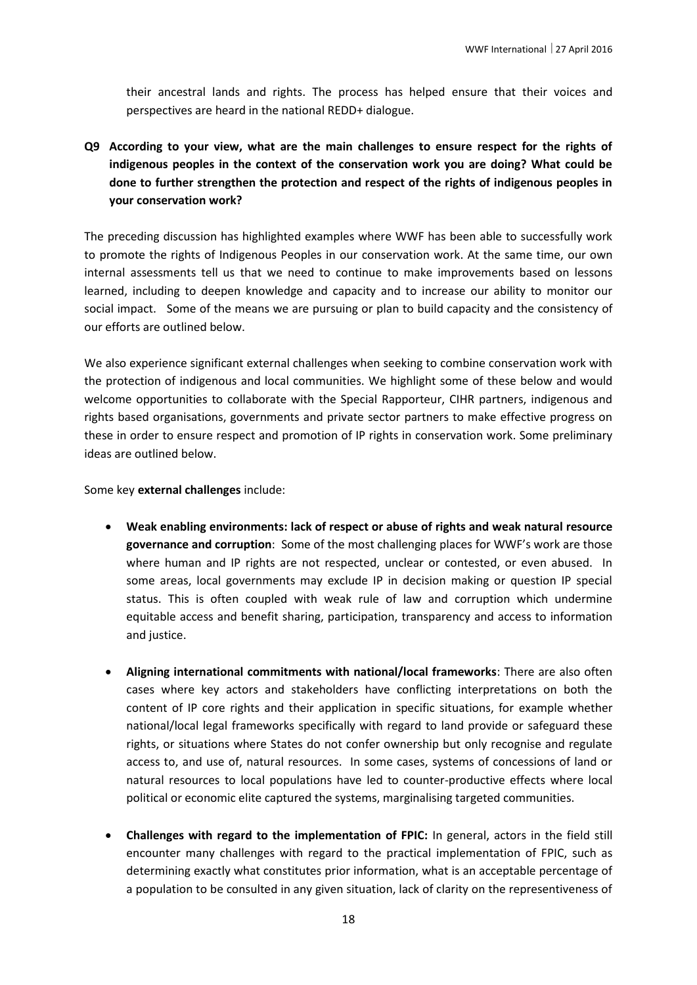their ancestral lands and rights. The process has helped ensure that their voices and perspectives are heard in the national REDD+ dialogue.

**Q9 According to your view, what are the main challenges to ensure respect for the rights of indigenous peoples in the context of the conservation work you are doing? What could be done to further strengthen the protection and respect of the rights of indigenous peoples in your conservation work?** 

The preceding discussion has highlighted examples where WWF has been able to successfully work to promote the rights of Indigenous Peoples in our conservation work. At the same time, our own internal assessments tell us that we need to continue to make improvements based on lessons learned, including to deepen knowledge and capacity and to increase our ability to monitor our social impact. Some of the means we are pursuing or plan to build capacity and the consistency of our efforts are outlined below.

We also experience significant external challenges when seeking to combine conservation work with the protection of indigenous and local communities. We highlight some of these below and would welcome opportunities to collaborate with the Special Rapporteur, CIHR partners, indigenous and rights based organisations, governments and private sector partners to make effective progress on these in order to ensure respect and promotion of IP rights in conservation work. Some preliminary ideas are outlined below.

Some key **external challenges** include:

- **Weak enabling environments: lack of respect or abuse of rights and weak natural resource governance and corruption**: Some of the most challenging places for WWF's work are those where human and IP rights are not respected, unclear or contested, or even abused. In some areas, local governments may exclude IP in decision making or question IP special status. This is often coupled with weak rule of law and corruption which undermine equitable access and benefit sharing, participation, transparency and access to information and justice.
- **Aligning international commitments with national/local frameworks**: There are also often cases where key actors and stakeholders have conflicting interpretations on both the content of IP core rights and their application in specific situations, for example whether national/local legal frameworks specifically with regard to land provide or safeguard these rights, or situations where States do not confer ownership but only recognise and regulate access to, and use of, natural resources. In some cases, systems of concessions of land or natural resources to local populations have led to counter-productive effects where local political or economic elite captured the systems, marginalising targeted communities.
- **Challenges with regard to the implementation of FPIC:** In general, actors in the field still encounter many challenges with regard to the practical implementation of FPIC, such as determining exactly what constitutes prior information, what is an acceptable percentage of a population to be consulted in any given situation, lack of clarity on the representiveness of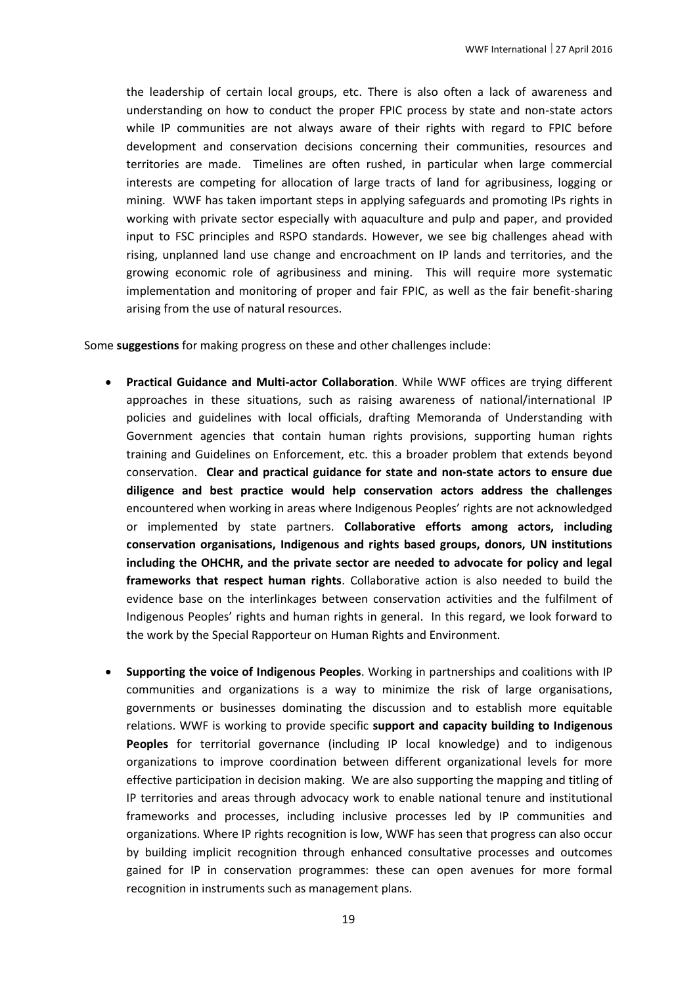the leadership of certain local groups, etc. There is also often a lack of awareness and understanding on how to conduct the proper FPIC process by state and non-state actors while IP communities are not always aware of their rights with regard to FPIC before development and conservation decisions concerning their communities, resources and territories are made. Timelines are often rushed, in particular when large commercial interests are competing for allocation of large tracts of land for agribusiness, logging or mining. WWF has taken important steps in applying safeguards and promoting IPs rights in working with private sector especially with aquaculture and pulp and paper, and provided input to FSC principles and RSPO standards. However, we see big challenges ahead with rising, unplanned land use change and encroachment on IP lands and territories, and the growing economic role of agribusiness and mining. This will require more systematic implementation and monitoring of proper and fair FPIC, as well as the fair benefit-sharing arising from the use of natural resources.

Some **suggestions** for making progress on these and other challenges include:

- **Practical Guidance and Multi-actor Collaboration**. While WWF offices are trying different approaches in these situations, such as raising awareness of national/international IP policies and guidelines with local officials, drafting Memoranda of Understanding with Government agencies that contain human rights provisions, supporting human rights training and Guidelines on Enforcement, etc. this a broader problem that extends beyond conservation. **Clear and practical guidance for state and non-state actors to ensure due diligence and best practice would help conservation actors address the challenges** encountered when working in areas where Indigenous Peoples' rights are not acknowledged or implemented by state partners. **Collaborative efforts among actors, including conservation organisations, Indigenous and rights based groups, donors, UN institutions including the OHCHR, and the private sector are needed to advocate for policy and legal frameworks that respect human rights**. Collaborative action is also needed to build the evidence base on the interlinkages between conservation activities and the fulfilment of Indigenous Peoples' rights and human rights in general. In this regard, we look forward to the work by the Special Rapporteur on Human Rights and Environment.
- **Supporting the voice of Indigenous Peoples**. Working in partnerships and coalitions with IP communities and organizations is a way to minimize the risk of large organisations, governments or businesses dominating the discussion and to establish more equitable relations. WWF is working to provide specific **support and capacity building to Indigenous Peoples** for territorial governance (including IP local knowledge) and to indigenous organizations to improve coordination between different organizational levels for more effective participation in decision making. We are also supporting the mapping and titling of IP territories and areas through advocacy work to enable national tenure and institutional frameworks and processes, including inclusive processes led by IP communities and organizations. Where IP rights recognition is low, WWF has seen that progress can also occur by building implicit recognition through enhanced consultative processes and outcomes gained for IP in conservation programmes: these can open avenues for more formal recognition in instruments such as management plans.